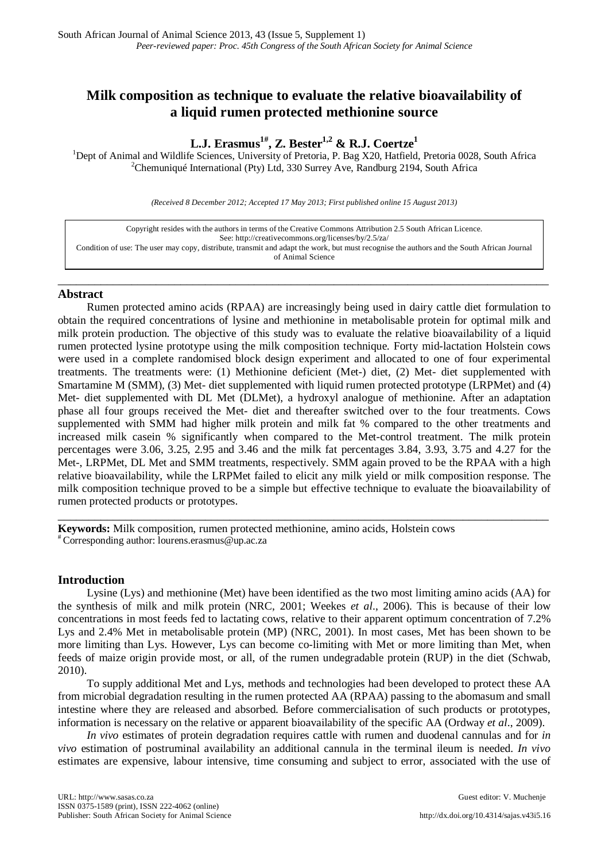# **Milk composition as technique to evaluate the relative bioavailability of a liquid rumen protected methionine source**

# **L.J. Erasmus1# , Z. Bester1,2 & R.J. Coertze1**

<sup>1</sup>Dept of Animal and Wildlife Sciences, University of Pretoria, P. Bag X20, Hatfield, Pretoria 0028, South Africa  $^{2}$ Chammianá International Otu) I td. 220 Surray Ave. Bandburg 2104, South Africa <sup>2</sup>Chemuniqué International (Pty) Ltd, 330 Surrey Ave, Randburg 2194, South Africa

*(Received 8 December 2012; Accepted 17 May 2013; First published online 15 August 2013)*

| Copyright resides with the authors in terms of the Creative Commons Attribution 2.5 South African Licence.                                 |
|--------------------------------------------------------------------------------------------------------------------------------------------|
| See: http://creativecommons.org/licenses/by/2.5/za/                                                                                        |
| Condition of use: The user may copy, distribute, transmit and adapt the work, but must recognise the authors and the South African Journal |
| of Animal Science                                                                                                                          |
|                                                                                                                                            |

\_\_\_\_\_\_\_\_\_\_\_\_\_\_\_\_\_\_\_\_\_\_\_\_\_\_\_\_\_\_\_\_\_\_\_\_\_\_\_\_\_\_\_\_\_\_\_\_\_\_\_\_\_\_\_\_\_\_\_\_\_\_\_\_\_\_\_\_\_\_\_\_\_\_\_\_\_\_\_\_

## **Abstract**

Rumen protected amino acids (RPAA) are increasingly being used in dairy cattle diet formulation to obtain the required concentrations of lysine and methionine in metabolisable protein for optimal milk and milk protein production. The objective of this study was to evaluate the relative bioavailability of a liquid rumen protected lysine prototype using the milk composition technique. Forty mid-lactation Holstein cows were used in a complete randomised block design experiment and allocated to one of four experimental treatments. The treatments were: (1) Methionine deficient (Met-) diet, (2) Met- diet supplemented with Smartamine M (SMM), (3) Met- diet supplemented with liquid rumen protected prototype (LRPMet) and (4) Met- diet supplemented with DL Met (DLMet), a hydroxyl analogue of methionine. After an adaptation phase all four groups received the Met- diet and thereafter switched over to the four treatments. Cows supplemented with SMM had higher milk protein and milk fat % compared to the other treatments and increased milk casein % significantly when compared to the Met-control treatment. The milk protein percentages were 3.06, 3.25, 2.95 and 3.46 and the milk fat percentages 3.84, 3.93, 3.75 and 4.27 for the Met-, LRPMet, DL Met and SMM treatments, respectively. SMM again proved to be the RPAA with a high relative bioavailability, while the LRPMet failed to elicit any milk yield or milk composition response. The milk composition technique proved to be a simple but effective technique to evaluate the bioavailability of rumen protected products or prototypes.

\_\_\_\_\_\_\_\_\_\_\_\_\_\_\_\_\_\_\_\_\_\_\_\_\_\_\_\_\_\_\_\_\_\_\_\_\_\_\_\_\_\_\_\_\_\_\_\_\_\_\_\_\_\_\_\_\_\_\_\_\_\_\_\_\_\_\_\_\_\_\_\_\_\_\_\_\_\_\_\_

**Keywords:** Milk composition, rumen protected methionine, amino acids, Holstein cows # Corresponding author: lourens.erasmus@up.ac.za

# **Introduction**

Lysine (Lys) and methionine (Met) have been identified as the two most limiting amino acids (AA) for the synthesis of milk and milk protein (NRC, 2001; Weekes *et al*., 2006). This is because of their low concentrations in most feeds fed to lactating cows, relative to their apparent optimum concentration of 7.2% Lys and 2.4% Met in metabolisable protein (MP) (NRC, 2001). In most cases, Met has been shown to be more limiting than Lys. However, Lys can become co-limiting with Met or more limiting than Met, when feeds of maize origin provide most, or all, of the rumen undegradable protein (RUP) in the diet (Schwab, 2010).

To supply additional Met and Lys, methods and technologies had been developed to protect these AA from microbial degradation resulting in the rumen protected AA (RPAA) passing to the abomasum and small intestine where they are released and absorbed. Before commercialisation of such products or prototypes, information is necessary on the relative or apparent bioavailability of the specific AA (Ordway *et al*., 2009).

*In vivo* estimates of protein degradation requires cattle with rumen and duodenal cannulas and for *in vivo* estimation of postruminal availability an additional cannula in the terminal ileum is needed. *In vivo* estimates are expensive, labour intensive, time consuming and subject to error, associated with the use of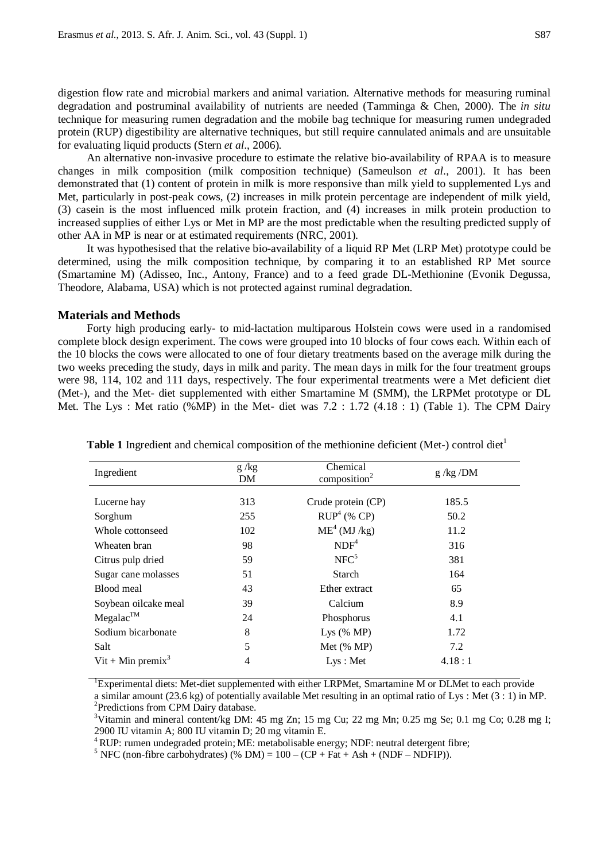digestion flow rate and microbial markers and animal variation. Alternative methods for measuring ruminal degradation and postruminal availability of nutrients are needed (Tamminga & Chen, 2000). The *in situ* technique for measuring rumen degradation and the mobile bag technique for measuring rumen undegraded protein (RUP) digestibility are alternative techniques, but still require cannulated animals and are unsuitable for evaluating liquid products (Stern *et al*., 2006).

An alternative non-invasive procedure to estimate the relative bio-availability of RPAA is to measure changes in milk composition (milk composition technique) (Sameulson *et al*., 2001). It has been demonstrated that (1) content of protein in milk is more responsive than milk yield to supplemented Lys and Met, particularly in post-peak cows, (2) increases in milk protein percentage are independent of milk yield, (3) casein is the most influenced milk protein fraction, and (4) increases in milk protein production to increased supplies of either Lys or Met in MP are the most predictable when the resulting predicted supply of other AA in MP is near or at estimated requirements (NRC, 2001).

It was hypothesised that the relative bio-availability of a liquid RP Met (LRP Met) prototype could be determined, using the milk composition technique, by comparing it to an established RP Met source (Smartamine M) (Adisseo, Inc., Antony, France) and to a feed grade DL-Methionine (Evonik Degussa, Theodore, Alabama, USA) which is not protected against ruminal degradation.

#### **Materials and Methods**

Forty high producing early- to mid-lactation multiparous Holstein cows were used in a randomised complete block design experiment. The cows were grouped into 10 blocks of four cows each. Within each of the 10 blocks the cows were allocated to one of four dietary treatments based on the average milk during the two weeks preceding the study, days in milk and parity. The mean days in milk for the four treatment groups were 98, 114, 102 and 111 days, respectively. The four experimental treatments were a Met deficient diet (Met-), and the Met- diet supplemented with either Smartamine M (SMM), the LRPMet prototype or DL Met. The Lys : Met ratio (%MP) in the Met- diet was 7.2 : 1.72 (4.18 : 1) (Table 1). The CPM Dairy

| Ingredient                    | g/kg<br>DM | Chemical<br>composition <sup>2</sup> | $g$ /kg /DM |  |
|-------------------------------|------------|--------------------------------------|-------------|--|
|                               |            |                                      |             |  |
| Lucerne hay                   | 313        | Crude protein (CP)                   | 185.5       |  |
| Sorghum                       | 255        | $RUP4$ (% CP)                        | 50.2        |  |
| Whole cottonseed              | 102        | ME <sup>4</sup> (MJ/kg)              | 11.2        |  |
| Wheaten bran                  | 98         | NDF <sup>4</sup>                     | 316         |  |
| Citrus pulp dried             | 59         | NFC <sup>5</sup>                     | 381         |  |
| Sugar cane molasses           | 51         | Starch                               | 164         |  |
| Blood meal                    | 43         | Ether extract                        | 65          |  |
| Soybean oilcake meal          | 39         | Calcium                              | 8.9         |  |
| $Megalac^{TM}$                | 24         | Phosphorus                           | 4.1         |  |
| Sodium bicarbonate            | 8          | Lys $(\% MP)$                        | 1.72        |  |
| Salt                          | 5          | Met $(\%$ MP)                        | 7.2         |  |
| Vit + Min premix <sup>3</sup> | 4          | Lys: Met                             | 4.18:1      |  |
|                               |            |                                      |             |  |

**Table 1** Ingredient and chemical composition of the methionine deficient (Met-) control diet<sup>1</sup>

<sup>1</sup>Experimental diets: Met-diet supplemented with either LRPMet, Smartamine M or DLMet to each provide a similar amount  $(23.6 \text{ kg})$  of potentially available Met resulting in an optimal ratio of Lys : Met  $(3:1)$  in MP.

<sup>2</sup>Predictions from CPM Dairy database.

<sup>3</sup>Vitamin and mineral content/kg DM: 45 mg Zn; 15 mg Cu; 22 mg Mn; 0.25 mg Se; 0.1 mg Co; 0.28 mg I; 2900 IU vitamin A; 800 IU vitamin D; 20 mg vitamin E.<br><sup>4</sup> RUP: rumen undegraded protein; ME: metabolisable energy; NDF: neutral detergent fibre; <sup>5</sup> NFC (non-fibre carbohydrates) (% DM) = 100 – (CP + Fat + Ash + (NDF – ND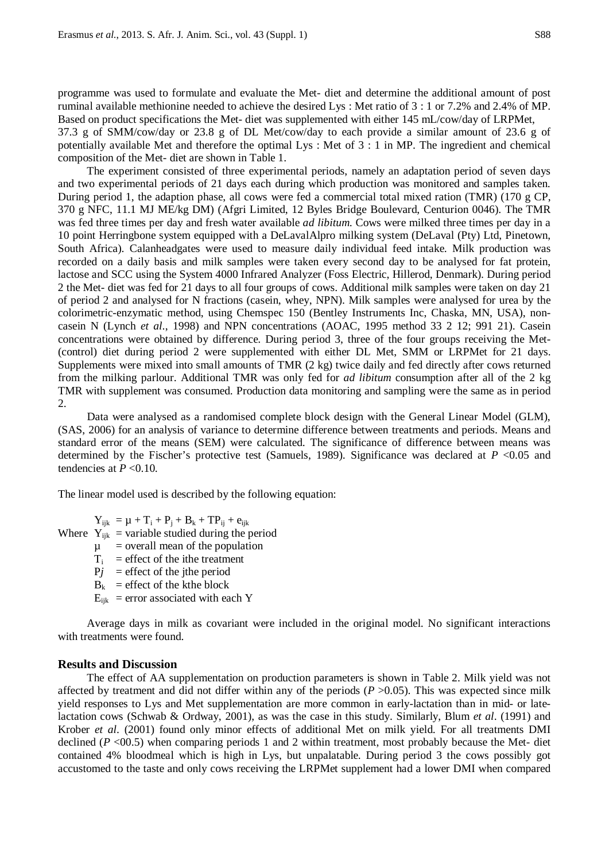programme was used to formulate and evaluate the Met- diet and determine the additional amount of post ruminal available methionine needed to achieve the desired Lys : Met ratio of 3 : 1 or 7.2% and 2.4% of MP. Based on product specifications the Met- diet was supplemented with either 145 mL/cow/day of LRPMet, 37.3 g of SMM/cow/day or 23.8 g of DL Met/cow/day to each provide a similar amount of 23.6 g of potentially available Met and therefore the optimal Lys : Met of 3 : 1 in MP. The ingredient and chemical composition of the Met- diet are shown in Table 1.

The experiment consisted of three experimental periods, namely an adaptation period of seven days and two experimental periods of 21 days each during which production was monitored and samples taken. During period 1, the adaption phase, all cows were fed a commercial total mixed ration (TMR) (170 g CP, 370 g NFC, 11.1 MJ ME/kg DM) (Afgri Limited, 12 Byles Bridge Boulevard, Centurion 0046). The TMR was fed three times per day and fresh water available *ad libitum*. Cows were milked three times per day in a 10 point Herringbone system equipped with a DeLavalAlpro milking system (DeLaval (Pty) Ltd, Pinetown, South Africa). Calanheadgates were used to measure daily individual feed intake. Milk production was recorded on a daily basis and milk samples were taken every second day to be analysed for fat protein, lactose and SCC using the System 4000 Infrared Analyzer (Foss Electric, Hillerod, Denmark). During period 2 the Met- diet was fed for 21 days to all four groups of cows. Additional milk samples were taken on day 21 of period 2 and analysed for N fractions (casein, whey, NPN). Milk samples were analysed for urea by the colorimetric-enzymatic method, using Chemspec 150 (Bentley Instruments Inc, Chaska, MN, USA), noncasein N (Lynch *et al*., 1998) and NPN concentrations (AOAC, 1995 method 33 2 12; 991 21). Casein concentrations were obtained by difference. During period 3, three of the four groups receiving the Met- (control) diet during period 2 were supplemented with either DL Met, SMM or LRPMet for 21 days. Supplements were mixed into small amounts of TMR (2 kg) twice daily and fed directly after cows returned from the milking parlour. Additional TMR was only fed for *ad libitum* consumption after all of the 2 kg TMR with supplement was consumed. Production data monitoring and sampling were the same as in period 2.

Data were analysed as a randomised complete block design with the General Linear Model (GLM), (SAS, 2006) for an analysis of variance to determine difference between treatments and periods. Means and standard error of the means (SEM) were calculated. The significance of difference between means was determined by the Fischer's protective test (Samuels, 1989). Significance was declared at  $P < 0.05$  and tendencies at  $P < 0.10$ .

The linear model used is described by the following equation:

 $Y_{iik} = \mu + T_i + P_i + B_k + TP_{ii} + e_{iik}$ Where  $Y_{ijk}$  = variable studied during the period

 $\mu$  = overall mean of the population

- 
- $T_i$  = effect of the ithe treatment
- $Pj$  = effect of the jthe period
- $B_k$  = effect of the kthe block
- $E_{iik}$  = error associated with each Y

Average days in milk as covariant were included in the original model. No significant interactions with treatments were found.

### **Results and Discussion**

The effect of AA supplementation on production parameters is shown in Table 2. Milk yield was not affected by treatment and did not differ within any of the periods  $(P > 0.05)$ . This was expected since milk yield responses to Lys and Met supplementation are more common in early-lactation than in mid- or latelactation cows (Schwab & Ordway, 2001), as was the case in this study. Similarly, Blum *et al*. (1991) and Krober *et al*. (2001) found only minor effects of additional Met on milk yield. For all treatments DMI declined (*P* <00.5) when comparing periods 1 and 2 within treatment, most probably because the Met- diet contained 4% bloodmeal which is high in Lys, but unpalatable. During period 3 the cows possibly got accustomed to the taste and only cows receiving the LRPMet supplement had a lower DMI when compared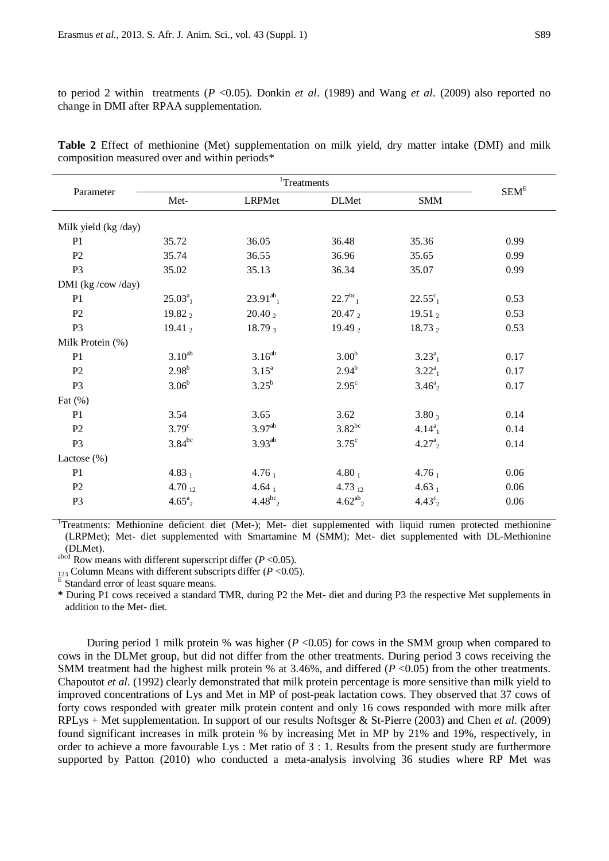to period 2 within treatments (*P* <0.05). Donkin *et al*. (1989) and Wang *et al*. (2009) also reported no change in DMI after RPAA supplementation.

| Parameter            | <sup>1</sup> Treatments |                           |                          |                              |                  |
|----------------------|-------------------------|---------------------------|--------------------------|------------------------------|------------------|
|                      | Met-                    | LRPMet                    | <b>DLMet</b>             | <b>SMM</b>                   | SEM <sup>E</sup> |
| Milk yield (kg /day) |                         |                           |                          |                              |                  |
| P1                   | 35.72                   | 36.05                     | 36.48                    | 35.36                        | 0.99             |
| P2                   | 35.74                   | 36.55                     | 36.96                    | 35.65                        | 0.99             |
| P <sub>3</sub>       | 35.02                   | 35.13                     | 36.34                    | 35.07                        | 0.99             |
| DMI (kg /cow/day)    |                         |                           |                          |                              |                  |
| P <sub>1</sub>       | $25.03^a$ <sub>1</sub>  | $23.91^{ab}$ <sub>1</sub> | $22.7^{bc}$ <sub>1</sub> | $22.55^{\circ}$ <sub>1</sub> | 0.53             |
| P <sub>2</sub>       | 19.82 2                 | $20.40_2$                 | 20.47 2                  | 19.51 $_2$                   | 0.53             |
| P <sub>3</sub>       | 19.41 $_2$              | $18.79_3$                 | 19.49 $_2$               | 18.73 $_2$                   | 0.53             |
| Milk Protein (%)     |                         |                           |                          |                              |                  |
| P1                   | $3.10^{ab}$             | $3.16^{ab}$               | 3.00 <sup>b</sup>        | $3.23^{a}_{1}$               | 0.17             |
| P <sub>2</sub>       | $2.98^{b}$              | $3.15^{\circ}$            | $2.94^{b}$               | $3.22^{a}$ <sub>1</sub>      | 0.17             |
| P <sub>3</sub>       | $3.06^{b}$              | $3.25^{b}$                | $2.95^{\circ}$           | $3.46^{a}_{2}$               | 0.17             |
| Fat $(\%)$           |                         |                           |                          |                              |                  |
| P <sub>1</sub>       | 3.54                    | 3.65                      | 3.62                     | $3.80_3$                     | 0.14             |
| P <sub>2</sub>       | $3.79^\circ$            | 3.97 <sup>ab</sup>        | $3.82^{bc}$              | $4.14^{a}_{1}$               | 0.14             |
| P <sub>3</sub>       | $3.84^{bc}$             | $3.93^{ab}$               | $3.75^{\circ}$           | $4.27^{a}_{2}$               | 0.14             |
| Lactose $(\%)$       |                         |                           |                          |                              |                  |
| P <sub>1</sub>       | 4.83 $_1$               | $4.76_1$                  | 4.80 $_1$                | $4.76_1$                     | 0.06             |
| P <sub>2</sub>       | 4.70 $_{12}$            | $4.64_1$                  | 4.73 $_{12}$             | $4.63_1$                     | 0.06             |
| P <sub>3</sub>       | $4.65^a_{2}$            | $4.48^{bc}$ <sub>2</sub>  | $4.62^{ab}{}_{2}$        | $4.43^{\circ}_{2}$           | 0.06             |

**Table 2** Effect of methionine (Met) supplementation on milk yield, dry matter intake (DMI) and milk composition measured over and within periods\*

<sup>1</sup>Treatments: Methionine deficient diet (Met-); Met- diet supplemented with liquid rumen protected methionine (LRPMet); Met- diet supplemented with Smartamine M (SMM); Met- diet supplemented with DL-Methionine

(DLMet).<br>abcd Row means with different superscript differ  $(P < 0.05)$ .

<sup>123</sup> Column Means with different subscripts differ ( $P < 0.05$ ).<br><sup>E</sup> Standard error of least square means.

**\*** During P1 cows received a standard TMR, during P2 the Met- diet and during P3 the respective Met supplements in addition to the Met- diet.

During period 1 milk protein % was higher (*P* <0.05) for cows in the SMM group when compared to cows in the DLMet group, but did not differ from the other treatments. During period 3 cows receiving the SMM treatment had the highest milk protein % at 3.46%, and differed (*P* <0.05) from the other treatments. Chapoutot *et al*. (1992) clearly demonstrated that milk protein percentage is more sensitive than milk yield to improved concentrations of Lys and Met in MP of post-peak lactation cows. They observed that 37 cows of forty cows responded with greater milk protein content and only 16 cows responded with more milk after RPLys + Met supplementation. In support of our results Noftsger & St-Pierre (2003) and Chen *et al*. (2009) found significant increases in milk protein % by increasing Met in MP by 21% and 19%, respectively, in order to achieve a more favourable Lys : Met ratio of 3 : 1. Results from the present study are furthermore supported by Patton (2010) who conducted a meta-analysis involving 36 studies where RP Met was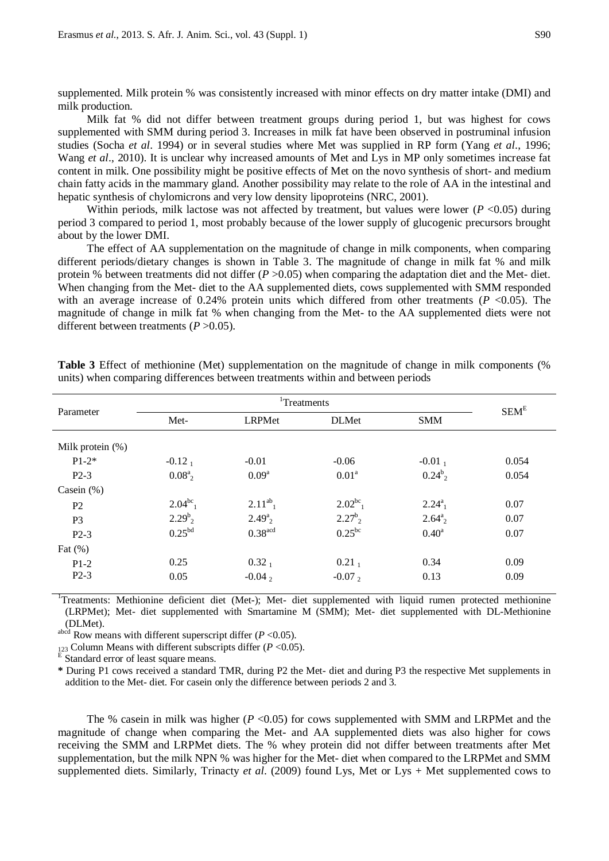supplemented. Milk protein % was consistently increased with minor effects on dry matter intake (DMI) and milk production.

Milk fat % did not differ between treatment groups during period 1, but was highest for cows supplemented with SMM during period 3. Increases in milk fat have been observed in postruminal infusion studies (Socha *et al*. 1994) or in several studies where Met was supplied in RP form (Yang *et al*., 1996; Wang *et al*., 2010). It is unclear why increased amounts of Met and Lys in MP only sometimes increase fat content in milk. One possibility might be positive effects of Met on the novo synthesis of short- and medium chain fatty acids in the mammary gland. Another possibility may relate to the role of AA in the intestinal and hepatic synthesis of chylomicrons and very low density lipoproteins (NRC, 2001).

Within periods, milk lactose was not affected by treatment, but values were lower  $(P \le 0.05)$  during period 3 compared to period 1, most probably because of the lower supply of glucogenic precursors brought about by the lower DMI.

The effect of AA supplementation on the magnitude of change in milk components, when comparing different periods/dietary changes is shown in Table 3. The magnitude of change in milk fat % and milk protein % between treatments did not differ (*P* > 0.05) when comparing the adaptation diet and the Met- diet. When changing from the Met- diet to the AA supplemented diets, cows supplemented with SMM responded with an average increase of  $0.24\%$  protein units which differed from other treatments ( $P < 0.05$ ). The magnitude of change in milk fat % when changing from the Met- to the AA supplemented diets were not different between treatments (*P* >0.05).

| Parameter           | <sup>1</sup> Treatments |                       |                   |                         | SEM <sup>E</sup> |
|---------------------|-------------------------|-----------------------|-------------------|-------------------------|------------------|
|                     | Met-                    | LRPMet                | <b>DLMet</b>      | <b>SMM</b>              |                  |
| Milk protein $(\%)$ |                         |                       |                   |                         |                  |
| $P1-2*$             | $-0.121$                | $-0.01$               | $-0.06$           | $-0.011$                | 0.054            |
| $P2-3$              | $0.08^a$                | 0.09 <sup>a</sup>     | 0.01 <sup>a</sup> | $0.24^{b}$ <sub>2</sub> | 0.054            |
| Casein $(\%)$       |                         |                       |                   |                         |                  |
| P <sub>2</sub>      | $2.04^{bc}$             | $2.11^{ab}$           | $2.02^{bc}$       | $2.24^{a}_{1}$          | 0.07             |
| P <sub>3</sub>      | $2.29^{b}$ <sub>2</sub> | $2.49^a$              | $2.27^b$          | $2.64^a$                | 0.07             |
| $P2-3$              | 0.25 <sup>bd</sup>      | $0.38$ <sup>acd</sup> | $0.25^{bc}$       | $0.40^{\rm a}$          | 0.07             |
| Fat $(\%)$          |                         |                       |                   |                         |                  |
| $P1-2$              | 0.25                    | $0.32_1$              | $0.21_1$          | 0.34                    | 0.09             |
| $P2-3$              | 0.05                    | $-0.042$              | $-0.072$          | 0.13                    | 0.09             |

**Table 3** Effect of methionine (Met) supplementation on the magnitude of change in milk components (% units) when comparing differences between treatments within and between periods

<sup>1</sup>Treatments: Methionine deficient diet (Met-); Met- diet supplemented with liquid rumen protected methionine (LRPMet); Met- diet supplemented with Smartamine M (SMM); Met- diet supplemented with DL-Methionine (DLMet).<br>abcd Row means with different superscript differ  $(P < 0.05)$ .

<sup>123</sup> Column Means with different subscripts differ ( $P < 0.05$ ).<br><sup>E</sup> Standard error of least square means.

**\*** During P1 cows received a standard TMR, during P2 the Met- diet and during P3 the respective Met supplements in addition to the Met- diet. For casein only the difference between periods 2 and 3.

The % case in milk was higher ( $P < 0.05$ ) for cows supplemented with SMM and LRPMet and the magnitude of change when comparing the Met- and AA supplemented diets was also higher for cows receiving the SMM and LRPMet diets. The % whey protein did not differ between treatments after Met supplementation, but the milk NPN % was higher for the Met- diet when compared to the LRPMet and SMM supplemented diets. Similarly, Trinacty *et al*. (2009) found Lys, Met or Lys + Met supplemented cows to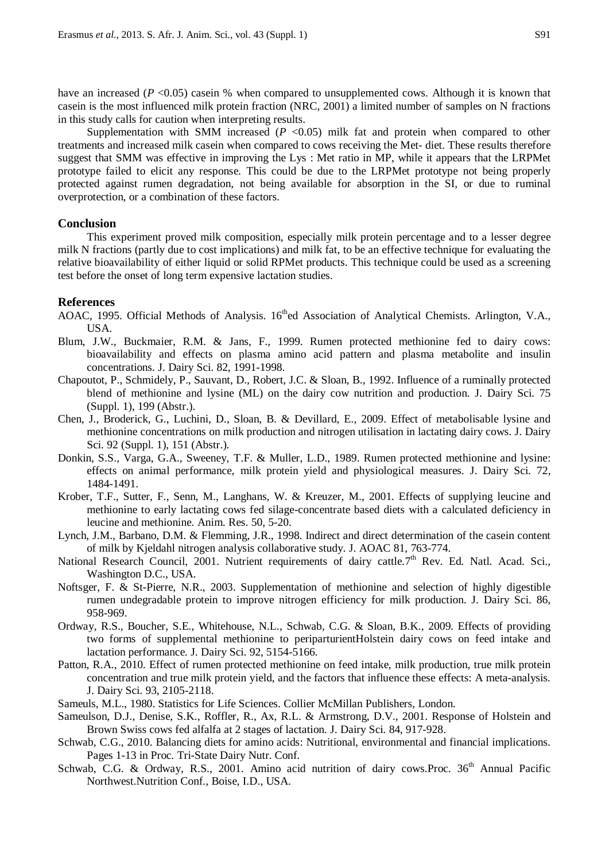have an increased  $(P \le 0.05)$  casein % when compared to unsupplemented cows. Although it is known that casein is the most influenced milk protein fraction (NRC, 2001) a limited number of samples on N fractions in this study calls for caution when interpreting results.

Supplementation with SMM increased  $(P \le 0.05)$  milk fat and protein when compared to other treatments and increased milk casein when compared to cows receiving the Met- diet. These results therefore suggest that SMM was effective in improving the Lys : Met ratio in MP, while it appears that the LRPMet prototype failed to elicit any response. This could be due to the LRPMet prototype not being properly protected against rumen degradation, not being available for absorption in the SI, or due to ruminal overprotection, or a combination of these factors.

### **Conclusion**

This experiment proved milk composition, especially milk protein percentage and to a lesser degree milk N fractions (partly due to cost implications) and milk fat, to be an effective technique for evaluating the relative bioavailability of either liquid or solid RPMet products. This technique could be used as a screening test before the onset of long term expensive lactation studies.

#### **References**

- AOAC, 1995. Official Methods of Analysis. 16<sup>th</sup>ed Association of Analytical Chemists. Arlington, V.A., USA.
- Blum, J.W., Buckmaier, R.M. & Jans, F., 1999. Rumen protected methionine fed to dairy cows: bioavailability and effects on plasma amino acid pattern and plasma metabolite and insulin concentrations. J. Dairy Sci. 82, 1991-1998.
- Chapoutot, P., Schmidely, P., Sauvant, D., Robert, J.C. & Sloan, B., 1992. Influence of a ruminally protected blend of methionine and lysine (ML) on the dairy cow nutrition and production. J. Dairy Sci. 75 (Suppl. 1), 199 (Abstr.).
- Chen, J., Broderick, G., Luchini, D., Sloan, B. & Devillard, E., 2009. Effect of metabolisable lysine and methionine concentrations on milk production and nitrogen utilisation in lactating dairy cows. J. Dairy Sci. 92 (Suppl. 1), 151 (Abstr.).
- Donkin, S.S., Varga, G.A., Sweeney, T.F. & Muller, L.D., 1989. Rumen protected methionine and lysine: effects on animal performance, milk protein yield and physiological measures. J. Dairy Sci. 72, 1484-1491.
- Krober, T.F., Sutter, F., Senn, M., Langhans, W. & Kreuzer, M., 2001. Effects of supplying leucine and methionine to early lactating cows fed silage-concentrate based diets with a calculated deficiency in leucine and methionine. Anim. Res. 50, 5-20.
- Lynch, J.M., Barbano, D.M. & Flemming, J.R., 1998. Indirect and direct determination of the casein content of milk by Kjeldahl nitrogen analysis collaborative study. J. AOAC 81, 763-774.
- National Research Council, 2001. Nutrient requirements of dairy cattle.7<sup>th</sup> Rev. Ed. Natl. Acad. Sci., Washington D.C., USA.
- Noftsger, F. & St-Pierre, N.R., 2003. Supplementation of methionine and selection of highly digestible rumen undegradable protein to improve nitrogen efficiency for milk production. J. Dairy Sci. 86, 958-969.
- Ordway, R.S., Boucher, S.E., Whitehouse, N.L., Schwab, C.G. & Sloan, B.K., 2009. Effects of providing two forms of supplemental methionine to periparturientHolstein dairy cows on feed intake and lactation performance. J. Dairy Sci. 92, 5154-5166.
- Patton, R.A., 2010. Effect of rumen protected methionine on feed intake, milk production, true milk protein concentration and true milk protein yield, and the factors that influence these effects: A meta-analysis. J. Dairy Sci. 93, 2105-2118.
- Sameuls, M.L., 1980. Statistics for Life Sciences. Collier McMillan Publishers, London.
- Sameulson, D.J., Denise, S.K., Roffler, R., Ax, R.L. & Armstrong, D.V., 2001. Response of Holstein and Brown Swiss cows fed alfalfa at 2 stages of lactation. J. Dairy Sci. 84, 917-928.
- Schwab, C.G., 2010. Balancing diets for amino acids: Nutritional, environmental and financial implications. Pages 1-13 in Proc. Tri-State Dairy Nutr. Conf.
- Schwab, C.G. & Ordway, R.S., 2001. Amino acid nutrition of dairy cows. Proc.  $36<sup>th</sup>$  Annual Pacific Northwest.Nutrition Conf., Boise, I.D., USA.